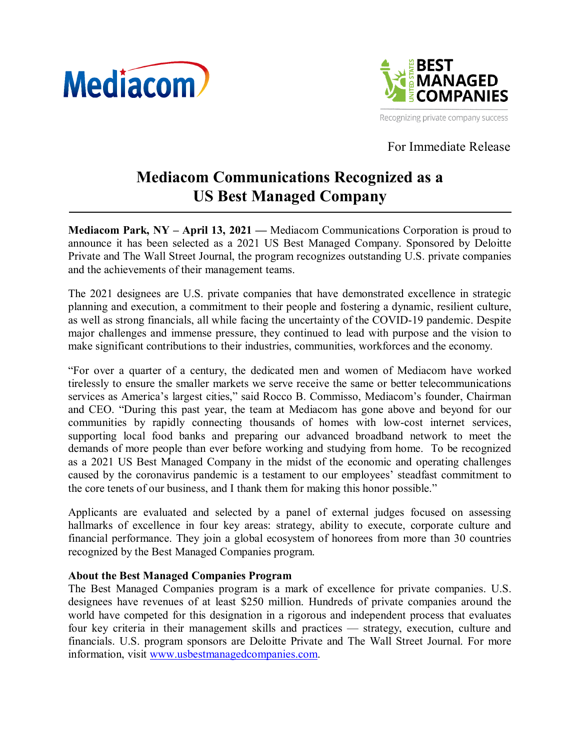



Recognizing private company success

For Immediate Release

## **Mediacom Communications Recognized as a US Best Managed Company**

**Mediacom Park, NY – April 13, 2021 —** Mediacom Communications Corporation is proud to announce it has been selected as a 2021 US Best Managed Company. Sponsored by Deloitte Private and The Wall Street Journal, the program recognizes outstanding U.S. private companies and the achievements of their management teams.

The 2021 designees are U.S. private companies that have demonstrated excellence in strategic planning and execution, a commitment to their people and fostering a dynamic, resilient culture, as well as strong financials, all while facing the uncertainty of the COVID-19 pandemic. Despite major challenges and immense pressure, they continued to lead with purpose and the vision to make significant contributions to their industries, communities, workforces and the economy.

"For over a quarter of a century, the dedicated men and women of Mediacom have worked tirelessly to ensure the smaller markets we serve receive the same or better telecommunications services as America's largest cities," said Rocco B. Commisso, Mediacom's founder, Chairman and CEO. "During this past year, the team at Mediacom has gone above and beyond for our communities by rapidly connecting thousands of homes with low-cost internet services, supporting local food banks and preparing our advanced broadband network to meet the demands of more people than ever before working and studying from home. To be recognized as a 2021 US Best Managed Company in the midst of the economic and operating challenges caused by the coronavirus pandemic is a testament to our employees' steadfast commitment to the core tenets of our business, and I thank them for making this honor possible."

Applicants are evaluated and selected by a panel of external judges focused on assessing hallmarks of excellence in four key areas: strategy, ability to execute, corporate culture and financial performance. They join a global ecosystem of honorees from more than 30 countries recognized by the Best Managed Companies program.

## **About the Best Managed Companies Program**

The Best Managed Companies program is a mark of excellence for private companies. U.S. designees have revenues of at least \$250 million. Hundreds of private companies around the world have competed for this designation in a rigorous and independent process that evaluates four key criteria in their management skills and practices — strategy, execution, culture and financials. U.S. program sponsors are Deloitte Private and The Wall Street Journal. For more information, visit www.usbestmanagedcompanies.com.